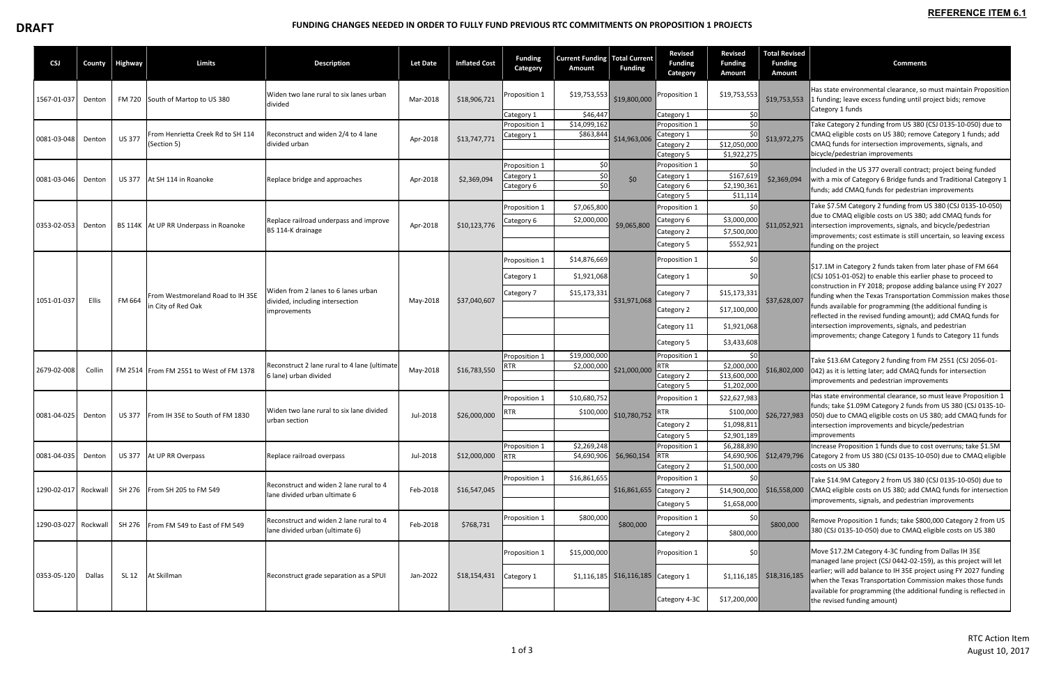## **DRAFT EXAMPLE AND A FUNDING CHANGES NEEDED IN ORDER TO FULLY FUND PREVIOUS RTC COMMITMENTS ON PROPOSITION 1 PROJECTS**

| <b>CSJ</b>           | County | Highway                                                           | Limits                                                                | <b>Description</b>                                                                                    | <b>Let Date</b>      | <b>Inflated Cost</b>         | <b>Funding</b><br>Category  | <b>Current Funding</b><br>Amount | Total Current<br><b>Funding</b>                                 | <b>Revised</b><br><b>Funding</b><br>Category | <b>Revised</b><br><b>Funding</b><br>Amount | <b>Total Revised</b><br><b>Funding</b><br><b>Amount</b>                                                                         | <b>Comments</b>                                                                                                                                                                                                                                                                                                                                                                                                                                                                                                 |
|----------------------|--------|-------------------------------------------------------------------|-----------------------------------------------------------------------|-------------------------------------------------------------------------------------------------------|----------------------|------------------------------|-----------------------------|----------------------------------|-----------------------------------------------------------------|----------------------------------------------|--------------------------------------------|---------------------------------------------------------------------------------------------------------------------------------|-----------------------------------------------------------------------------------------------------------------------------------------------------------------------------------------------------------------------------------------------------------------------------------------------------------------------------------------------------------------------------------------------------------------------------------------------------------------------------------------------------------------|
| 1567-01-037          | Denton |                                                                   | FM 720 South of Martop to US 380                                      | Widen two lane rural to six lanes urban<br>divided                                                    | Mar-2018             | \$18,906,721                 | Proposition 1               | \$19,753,553                     | \$19,800,000                                                    | Proposition 1                                | \$19,753,553                               | \$19,753,553                                                                                                                    | Has state environmental clearance, so must maintain Proposition<br>1 funding; leave excess funding until project bids; remove<br>Category 1 funds                                                                                                                                                                                                                                                                                                                                                               |
|                      |        |                                                                   |                                                                       |                                                                                                       |                      |                              | Category 1                  | \$46,447                         |                                                                 | Category 1                                   | \$0                                        |                                                                                                                                 |                                                                                                                                                                                                                                                                                                                                                                                                                                                                                                                 |
|                      | Denton | From Henrietta Creek Rd to SH 114<br><b>US 377</b><br>(Section 5) |                                                                       | Reconstruct and widen 2/4 to 4 lane                                                                   |                      |                              | Proposition 1<br>Category 1 | \$14,099,162<br>\$863,844        |                                                                 | Proposition 1<br>Category 1                  | \$0<br>\$0                                 |                                                                                                                                 | Take Category 2 funding from US 380 (CSJ 0135-10-050) due to<br>CMAQ eligible costs on US 380; remove Category 1 funds; add                                                                                                                                                                                                                                                                                                                                                                                     |
| 0081-03-048          |        |                                                                   | divided urban                                                         | Apr-2018                                                                                              | \$13,747,771         |                              |                             | \$14,963,006                     | Category 2                                                      | \$12,050,000                                 | \$13,972,275                               | CMAQ funds for intersection improvements, signals, and                                                                          |                                                                                                                                                                                                                                                                                                                                                                                                                                                                                                                 |
|                      |        |                                                                   |                                                                       |                                                                                                       |                      |                              |                             |                                  |                                                                 | Category 5                                   | \$1,922,275                                |                                                                                                                                 | bicycle/pedestrian improvements                                                                                                                                                                                                                                                                                                                                                                                                                                                                                 |
|                      | Denton |                                                                   |                                                                       |                                                                                                       |                      | Proposition 1                | \$0                         |                                  | Proposition 1                                                   | \$0                                          |                                            | Included in the US 377 overall contract; project being funded                                                                   |                                                                                                                                                                                                                                                                                                                                                                                                                                                                                                                 |
| 0081-03-046          |        | <b>US 377</b>                                                     | At SH 114 in Roanoke                                                  | Replace bridge and approaches                                                                         | Apr-2018             | \$2,369,094                  | Category 1                  | \$0                              | \$0                                                             | Category 1                                   | \$167,619                                  | \$2,369,094                                                                                                                     | with a mix of Category 6 Bridge funds and Traditional Category 1                                                                                                                                                                                                                                                                                                                                                                                                                                                |
|                      |        |                                                                   |                                                                       |                                                                                                       |                      |                              | Category 6                  | \$0                              |                                                                 | Category 6                                   | \$2,190,361                                |                                                                                                                                 | funds; add CMAQ funds for pedestrian improvements                                                                                                                                                                                                                                                                                                                                                                                                                                                               |
|                      |        |                                                                   |                                                                       |                                                                                                       |                      |                              |                             |                                  |                                                                 | Category 5                                   | \$11,114                                   |                                                                                                                                 |                                                                                                                                                                                                                                                                                                                                                                                                                                                                                                                 |
|                      |        |                                                                   |                                                                       |                                                                                                       |                      | \$10,123,776                 | Proposition 1               | \$7,065,800                      |                                                                 | Proposition 1                                | \$0                                        |                                                                                                                                 | Take \$7.5M Category 2 funding from US 380 (CSJ 0135-10-050)<br>due to CMAQ eligible costs on US 380; add CMAQ funds for                                                                                                                                                                                                                                                                                                                                                                                        |
| 0353-02-053          | Denton |                                                                   | BS 114K   At UP RR Underpass in Roanoke                               | Replace railroad underpass and improve                                                                | Apr-2018             |                              | Category 6                  | \$2,000,000                      | \$9,065,800                                                     | Category 6                                   | \$3,000,000                                | \$11,052,921                                                                                                                    | intersection improvements, signals, and bicycle/pedestrian                                                                                                                                                                                                                                                                                                                                                                                                                                                      |
|                      |        |                                                                   |                                                                       | BS 114-K drainage                                                                                     |                      |                              |                             |                                  |                                                                 | Category 2                                   | \$7,500,000                                |                                                                                                                                 | improvements; cost estimate is still uncertain, so leaving excess<br>funding on the project                                                                                                                                                                                                                                                                                                                                                                                                                     |
|                      |        |                                                                   |                                                                       |                                                                                                       |                      |                              |                             |                                  |                                                                 | Category 5                                   | \$552,921                                  |                                                                                                                                 |                                                                                                                                                                                                                                                                                                                                                                                                                                                                                                                 |
|                      | Ellis  | From Westmoreland Road to IH 35E<br>FM 664<br>in City of Red Oak  |                                                                       | Widen from 2 lanes to 6 lanes urban<br>divided, including intersection<br><i>improvements</i>         | May-2018             | \$37,040,607                 | Proposition 1               | \$14,876,669                     | \$31,971,068                                                    | Proposition 1                                | \$0                                        |                                                                                                                                 | \$17.1M in Category 2 funds taken from later phase of FM 664<br>(CSJ 1051-01-052) to enable this earlier phase to proceed to<br>construction in FY 2018; propose adding balance using FY 2027<br>funding when the Texas Transportation Commission makes those<br>funds available for programming (the additional funding is<br>reflected in the revised funding amount); add CMAQ funds for<br>intersection improvements, signals, and pedestrian<br>improvements; change Category 1 funds to Category 11 funds |
|                      |        |                                                                   |                                                                       |                                                                                                       |                      |                              | Category 1                  | \$1,921,068                      |                                                                 | Category 1                                   | \$0                                        | \$37,628,007                                                                                                                    |                                                                                                                                                                                                                                                                                                                                                                                                                                                                                                                 |
|                      |        |                                                                   |                                                                       |                                                                                                       |                      |                              | Category 7                  | \$15,173,331                     |                                                                 | Category 7                                   | \$15,173,331                               |                                                                                                                                 |                                                                                                                                                                                                                                                                                                                                                                                                                                                                                                                 |
| 1051-01-037          |        |                                                                   |                                                                       |                                                                                                       |                      |                              |                             |                                  |                                                                 | Category 2                                   | \$17,100,000                               |                                                                                                                                 |                                                                                                                                                                                                                                                                                                                                                                                                                                                                                                                 |
|                      |        |                                                                   |                                                                       |                                                                                                       |                      |                              |                             |                                  |                                                                 | Category 11                                  | \$1,921,068                                |                                                                                                                                 |                                                                                                                                                                                                                                                                                                                                                                                                                                                                                                                 |
|                      |        |                                                                   |                                                                       |                                                                                                       |                      |                              |                             |                                  |                                                                 | Category 5                                   | \$3,433,608                                |                                                                                                                                 |                                                                                                                                                                                                                                                                                                                                                                                                                                                                                                                 |
|                      |        |                                                                   |                                                                       |                                                                                                       |                      | Proposition 1                | \$19,000,000                | \$21,000,000                     | Proposition 1                                                   | \$0                                          | \$16,802,000                               | Take \$13.6M Category 2 funding from FM 2551 (CSJ 2056-01-                                                                      |                                                                                                                                                                                                                                                                                                                                                                                                                                                                                                                 |
|                      | Collin | FM 2514 From FM 2551 to West of FM 1378                           | Reconstruct 2 lane rural to 4 lane (ultimate<br>6 lane) urban divided | May-2018                                                                                              | \$16,783,550         | RTR                          | \$2,000,000                 |                                  | <b>RTR</b>                                                      | \$2,000,000                                  |                                            |                                                                                                                                 |                                                                                                                                                                                                                                                                                                                                                                                                                                                                                                                 |
| 2679-02-008          |        |                                                                   |                                                                       |                                                                                                       |                      |                              |                             |                                  | Category 2                                                      | \$13,600,000                                 |                                            | 042) as it is letting later; add CMAQ funds for intersection<br>improvements and pedestrian improvements                        |                                                                                                                                                                                                                                                                                                                                                                                                                                                                                                                 |
|                      |        |                                                                   |                                                                       |                                                                                                       |                      |                              |                             |                                  |                                                                 | Category 5                                   | \$1,202,000                                |                                                                                                                                 |                                                                                                                                                                                                                                                                                                                                                                                                                                                                                                                 |
|                      | Denton | <b>US 377</b><br>From IH 35E to South of FM 1830                  | Widen two lane rural to six lane divided<br>urban section             | Jul-2018                                                                                              | \$26,000,000         | Proposition 1                | \$10,680,752                | \$10,780,752                     | Proposition 1                                                   | \$22,627,983                                 | \$26,727,983                               | Has state environmental clearance, so must leave Proposition 1                                                                  |                                                                                                                                                                                                                                                                                                                                                                                                                                                                                                                 |
| 0081-04-025          |        |                                                                   |                                                                       |                                                                                                       |                      | RTR                          | \$100,000                   |                                  | RTR                                                             | \$100,000                                    |                                            | funds; take \$1.09M Category 2 funds from US 380 (CSJ 0135-10-<br>050) due to CMAQ eligible costs on US 380; add CMAQ funds for |                                                                                                                                                                                                                                                                                                                                                                                                                                                                                                                 |
|                      |        |                                                                   |                                                                       |                                                                                                       |                      |                              |                             |                                  | Category 2                                                      | \$1,098,811                                  |                                            | intersection improvements and bicycle/pedestrian                                                                                |                                                                                                                                                                                                                                                                                                                                                                                                                                                                                                                 |
|                      |        |                                                                   |                                                                       |                                                                                                       |                      |                              |                             |                                  |                                                                 | \$2,901,189<br>Category 5<br>improvements    |                                            |                                                                                                                                 |                                                                                                                                                                                                                                                                                                                                                                                                                                                                                                                 |
|                      |        |                                                                   |                                                                       |                                                                                                       |                      |                              | Proposition 1               | \$2,269,248                      |                                                                 | Proposition 1                                | \$6,288,890                                |                                                                                                                                 | Increase Proposition 1 funds due to cost overruns; take \$1.5M                                                                                                                                                                                                                                                                                                                                                                                                                                                  |
| 0081-04-035          | Denton | <b>US 377</b>                                                     | At UP RR Overpass<br>SH 276   From SH 205 to FM 549                   | Replace railroad overpass<br>Reconstruct and widen 2 lane rural to 4<br>lane divided urban ultimate 6 | Jul-2018<br>Feb-2018 | \$12,000,000<br>\$16,547,045 | RTR                         | \$4,690,906                      | \$6,960,154                                                     | RTR                                          | \$4,690,906                                | \$12,479,796                                                                                                                    | Category 2 from US 380 (CSJ 0135-10-050) due to CMAQ eligible                                                                                                                                                                                                                                                                                                                                                                                                                                                   |
|                      |        |                                                                   |                                                                       |                                                                                                       |                      |                              |                             |                                  |                                                                 | Category 2                                   | \$1,500,000                                |                                                                                                                                 | costs on US 380                                                                                                                                                                                                                                                                                                                                                                                                                                                                                                 |
|                      |        |                                                                   |                                                                       |                                                                                                       |                      |                              | Proposition 1               | \$16,861,655                     |                                                                 | Proposition 1                                |                                            | \$0<br>\$16,558,000                                                                                                             | Take \$14.9M Category 2 from US 380 (CSJ 0135-10-050) due to                                                                                                                                                                                                                                                                                                                                                                                                                                                    |
| 1290-02-017 Rockwall |        |                                                                   |                                                                       |                                                                                                       |                      |                              |                             |                                  | \$16,861,655 Category 2                                         |                                              | \$14,900,000                               |                                                                                                                                 | CMAQ eligible costs on US 380; add CMAQ funds for intersection                                                                                                                                                                                                                                                                                                                                                                                                                                                  |
|                      |        |                                                                   |                                                                       |                                                                                                       |                      |                              |                             |                                  |                                                                 | Category 5                                   | \$1,658,000                                |                                                                                                                                 | improvements, signals, and pedestrian improvements                                                                                                                                                                                                                                                                                                                                                                                                                                                              |
| 1290-03-027 Rockwall |        | SH 276                                                            | From FM 549 to East of FM 549                                         | Reconstruct and widen 2 lane rural to 4<br>lane divided urban (ultimate 6)                            | Feb-2018             | \$768,731                    | Proposition 1               | \$800,000                        | \$800,000                                                       | Proposition 1                                | \$0                                        | \$800,000                                                                                                                       | Remove Proposition 1 funds; take \$800,000 Category 2 from US                                                                                                                                                                                                                                                                                                                                                                                                                                                   |
|                      |        |                                                                   |                                                                       |                                                                                                       |                      |                              |                             |                                  |                                                                 | Category 2                                   | \$800,000                                  |                                                                                                                                 | 380 (CSJ 0135-10-050) due to CMAQ eligible costs on US 380                                                                                                                                                                                                                                                                                                                                                                                                                                                      |
|                      | Dallas | SL 12                                                             | At Skillman                                                           | Reconstruct grade separation as a SPUI                                                                | Jan-2022             | \$18,154,431                 | Proposition 1               | \$15,000,000                     | $\left  \frac{116,185}{16,185} \right $ \$16,116,185 Category 1 | Proposition 1                                | \$0<br>$$1,116,185$ $$18,316,185$          |                                                                                                                                 | Move \$17.2M Category 4-3C funding from Dallas IH 35E<br>managed lane project (CSJ 0442-02-159), as this project will let<br>earlier; will add balance to IH 35E project using FY 2027 funding<br>when the Texas Transportation Commission makes those funds<br>available for programming (the additional funding is reflected in<br>the revised funding amount)                                                                                                                                                |
| 0353-05-120          |        |                                                                   |                                                                       |                                                                                                       |                      |                              | Category 1                  |                                  |                                                                 |                                              |                                            |                                                                                                                                 |                                                                                                                                                                                                                                                                                                                                                                                                                                                                                                                 |
|                      |        |                                                                   |                                                                       |                                                                                                       |                      |                              |                             |                                  |                                                                 | Category 4-3C                                | \$17,200,000                               |                                                                                                                                 |                                                                                                                                                                                                                                                                                                                                                                                                                                                                                                                 |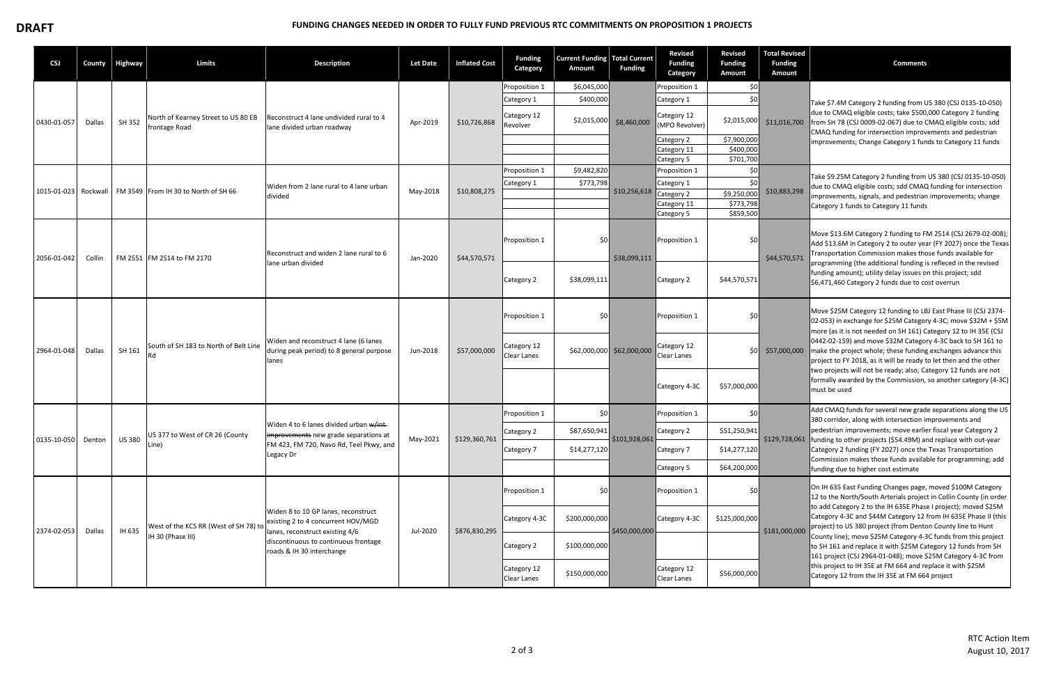## **DRAFT EXAMPLE AND A FUNDING CHANGES NEEDED IN ORDER TO FULLY FUND PREVIOUS RTC COMMITMENTS ON PROPOSITION 1 PROJECTS**

| <b>CSJ</b>           | County | Highway                | <b>Limits</b>                                              | <b>Description</b>                                                                                                                                                                | <b>Let Date</b> | <b>Inflated Cost</b> | <b>Funding</b><br>Category        | <b>Current Funding Total Current</b><br>Amount | <b>Funding</b>            | <b>Revised</b><br><b>Funding</b><br>Category | <b>Revised</b><br><b>Funding</b><br><b>Amount</b> | <b>Total Revised</b><br><b>Funding</b><br><b>Amount</b> | <b>Comments</b>                                                                                                                                                                                                                                                                                                                                                                                                                                                                                                                                                                                                                                        |
|----------------------|--------|------------------------|------------------------------------------------------------|-----------------------------------------------------------------------------------------------------------------------------------------------------------------------------------|-----------------|----------------------|-----------------------------------|------------------------------------------------|---------------------------|----------------------------------------------|---------------------------------------------------|---------------------------------------------------------|--------------------------------------------------------------------------------------------------------------------------------------------------------------------------------------------------------------------------------------------------------------------------------------------------------------------------------------------------------------------------------------------------------------------------------------------------------------------------------------------------------------------------------------------------------------------------------------------------------------------------------------------------------|
|                      |        |                        |                                                            |                                                                                                                                                                                   |                 |                      | Proposition 1                     | \$6,045,000                                    | \$8,460,000               | Proposition 1                                | \$0                                               |                                                         |                                                                                                                                                                                                                                                                                                                                                                                                                                                                                                                                                                                                                                                        |
| 0430-01-057          | Dallas |                        |                                                            |                                                                                                                                                                                   |                 |                      | Category 1                        | \$400,000                                      |                           | Category 1                                   | \$0                                               |                                                         | Take \$7.4M Category 2 funding from US 380 (CSJ 0135-10-050)                                                                                                                                                                                                                                                                                                                                                                                                                                                                                                                                                                                           |
|                      |        | SH 352                 | North of Kearney Street to US 80 EB<br>frontage Road       | Reconstruct 4 lane undivided rural to 4<br>lane divided urban roadway                                                                                                             | Apr-2019        | \$10,726,868         | Category 12<br>Revolver           | \$2,015,000                                    |                           | Category 12<br>(MPO Revolver)                | \$2,015,000                                       |                                                         | due to CMAQ eligible costs; take \$500,000 Category 2 funding<br>\$11,016,700   from SH 78 (CSJ 0009-02-067) due to CMAQ eligible costs; sdd<br>CMAQ funding for intersection improvements and pedestrian<br>improvements; Change Category 1 funds to Category 11 funds                                                                                                                                                                                                                                                                                                                                                                                |
|                      |        |                        |                                                            |                                                                                                                                                                                   |                 |                      |                                   |                                                |                           | Category 2                                   | \$7,900,000                                       |                                                         |                                                                                                                                                                                                                                                                                                                                                                                                                                                                                                                                                                                                                                                        |
|                      |        |                        |                                                            |                                                                                                                                                                                   |                 |                      |                                   |                                                |                           | Category 11<br>Category 5                    | \$400,000<br>\$701,700                            |                                                         |                                                                                                                                                                                                                                                                                                                                                                                                                                                                                                                                                                                                                                                        |
|                      |        |                        |                                                            |                                                                                                                                                                                   |                 |                      | Proposition 1                     | \$9,482,820                                    | \$10,256,618              | Proposition 1                                | \$0                                               |                                                         | Take \$9.25M Category 2 funding from US 380 (CSJ 0135-10-050)<br>due to CMAQ eligible costs; sdd CMAQ funding for intersection                                                                                                                                                                                                                                                                                                                                                                                                                                                                                                                         |
|                      |        |                        |                                                            | Widen from 2 lane rural to 4 lane urban                                                                                                                                           |                 |                      | Category 1                        | \$773,798                                      |                           | Category 1                                   | \$0                                               |                                                         |                                                                                                                                                                                                                                                                                                                                                                                                                                                                                                                                                                                                                                                        |
| 1015-01-023 Rockwall |        |                        | FM 3549 From IH 30 to North of SH 66                       | divided                                                                                                                                                                           | May-2018        | \$10,808,275         |                                   |                                                |                           | Category 2                                   | \$9,250,000                                       | \$10,883,298                                            | improvements, signals, and pedestrian improvements; vhange                                                                                                                                                                                                                                                                                                                                                                                                                                                                                                                                                                                             |
|                      |        |                        |                                                            |                                                                                                                                                                                   |                 |                      |                                   |                                                |                           | Category 11<br>Category 5                    | \$773,798<br>\$859,500                            |                                                         | Category 1 funds to Category 11 funds                                                                                                                                                                                                                                                                                                                                                                                                                                                                                                                                                                                                                  |
|                      |        |                        |                                                            |                                                                                                                                                                                   |                 |                      |                                   |                                                |                           |                                              |                                                   |                                                         |                                                                                                                                                                                                                                                                                                                                                                                                                                                                                                                                                                                                                                                        |
| 2056-01-042          | Collin |                        | FM 2551 FM 2514 to FM 2170                                 | Reconstruct and widen 2 lane rural to 6<br>lane urban divided                                                                                                                     | Jan-2020        | \$44,570,571         | Proposition 1                     | \$0                                            | \$38,099,111              | Proposition 1                                | \$0                                               | \$44,570,571                                            | Move \$13.6M Category 2 funding to FM 2514 (CSJ 2679-02-008);<br>Add \$13.6M in Category 2 to outer year (FY 2027) once the Texas<br>Transportation Commission makes those funds available for<br>programming (the additional funding is refleced in the revised<br>funding amount); utility delay issues on this project; sdd<br>\$6,471,460 Category 2 funds due to cost overrun                                                                                                                                                                                                                                                                     |
|                      |        |                        |                                                            |                                                                                                                                                                                   |                 |                      | Category 2                        | \$38,099,111                                   |                           | Category 2                                   | \$44,570,571                                      |                                                         |                                                                                                                                                                                                                                                                                                                                                                                                                                                                                                                                                                                                                                                        |
| 2964-01-048          | Dallas | SH 161                 |                                                            | Widen and reconstruct 4 lane (6 lanes<br>during peak period) to 8 general purpose<br>lanes                                                                                        | Jun-2018        | \$57,000,000         | Proposition 1                     | \$0                                            |                           | Proposition 1                                | \$0                                               |                                                         | Move \$25M Category 12 funding to LBJ East Phase III (CSJ 2374-<br>02-053) in exchange for \$25M Category 4-3C; move \$32M + \$5M<br>more (as it is not needed on SH 161) Category 12 to IH 35E (CSJ<br>0442-02-159) and move \$32M Category 4-3C back to SH 161 to<br>$$57,000,000$ make the project whole; these funding exchanges advance this<br>project to FY 2018, as it will be ready to let then and the other<br>two projects will not be ready; also, Category 12 funds are not<br>formally awarded by the Commission, so another category (4-3C)<br>must be used                                                                            |
|                      |        |                        | South of SH 183 to North of Belt Line                      |                                                                                                                                                                                   |                 |                      | Category 12<br>Clear Lanes        |                                                | \$62,000,000 \$62,000,000 | Category 12<br>Clear Lanes                   | 50 <sup>1</sup>                                   |                                                         |                                                                                                                                                                                                                                                                                                                                                                                                                                                                                                                                                                                                                                                        |
|                      |        |                        |                                                            |                                                                                                                                                                                   |                 |                      |                                   |                                                |                           | Category 4-3C                                | \$57,000,000                                      |                                                         |                                                                                                                                                                                                                                                                                                                                                                                                                                                                                                                                                                                                                                                        |
|                      |        | <b>US 380</b><br>Line) | US 377 to West of CR 26 (County                            |                                                                                                                                                                                   |                 | \$129,360,761        | Proposition 1                     | \$0                                            | \$101,928,061             | Proposition 1                                | \$0                                               |                                                         | Add CMAQ funds for several new grade separations along the US<br>380 corridor, along with intersection improvements and<br>pedestrian improvements; move earlier fiscal year Category 2                                                                                                                                                                                                                                                                                                                                                                                                                                                                |
|                      |        |                        |                                                            | Widen 4 to 6 lanes divided urban w/int-<br>improvements new grade separations at<br>FM 423, FM 720, Navo Rd, Teel Pkwy, and<br>Legacy Dr                                          |                 |                      | Category 2                        | \$87,650,941                                   |                           | Category 2                                   | \$51,250,941                                      |                                                         |                                                                                                                                                                                                                                                                                                                                                                                                                                                                                                                                                                                                                                                        |
| 0135-10-050 Denton   |        |                        |                                                            |                                                                                                                                                                                   | May-2021        |                      | Category 7                        | \$14,277,120                                   |                           | Category 7                                   | \$14,277,120                                      |                                                         | \$129,728,061 funding to other projects (\$54.49M) and replace with out-year<br>Category 2 funding (FY 2027) once the Texas Transportation                                                                                                                                                                                                                                                                                                                                                                                                                                                                                                             |
|                      |        |                        |                                                            |                                                                                                                                                                                   |                 |                      |                                   |                                                |                           | Category 5                                   | \$64,200,000                                      |                                                         | Commission makes those funds available for programming; add<br>funding due to higher cost estimate                                                                                                                                                                                                                                                                                                                                                                                                                                                                                                                                                     |
| 2374-02-053          | Dallas |                        | West of the KCS RR (West of SH 78) to<br>IH 30 (Phase III) | Widen 8 to 10 GP lanes, reconstruct<br>existing 2 to 4 concurrent HOV/MGD<br>lanes, reconstruct existing 4/6<br>discontinuous to continuous frontage<br>roads & IH 30 interchange | Jul-2020        | \$876,830,295        | Proposition 1                     | \$0                                            | \$450,000,000             | Proposition 1                                | \$0                                               | \$181,000,000                                           | On IH 635 East Funding Changes page, moved \$100M Category<br>12 to the North/South Arterials project in Collin County (in order<br>to add Category 2 to the IH 635E Phase I project); moved \$25M<br>Category 4-3C and \$44M Category 12 from IH 635E Phase II (this<br>project) to US 380 project (from Denton County line to Hunt<br>County line); move \$25M Category 4-3C funds from this project<br>to SH 161 and replace it with \$25M Category 12 funds from SH<br>161 project (CSJ 2964-01-048); move \$25M Category 4-3C from<br>this project to IH 35E at FM 664 and replace it with \$25M<br>Category 12 from the IH 35E at FM 664 project |
|                      |        | IH 635                 |                                                            |                                                                                                                                                                                   |                 |                      | Category 4-3C                     | \$200,000,000                                  |                           | Category 4-3C                                | \$125,000,000                                     |                                                         |                                                                                                                                                                                                                                                                                                                                                                                                                                                                                                                                                                                                                                                        |
|                      |        |                        |                                                            |                                                                                                                                                                                   |                 |                      | Category 2                        | \$100,000,000                                  |                           |                                              |                                                   |                                                         |                                                                                                                                                                                                                                                                                                                                                                                                                                                                                                                                                                                                                                                        |
|                      |        |                        |                                                            |                                                                                                                                                                                   |                 |                      | Category 12<br><b>Clear Lanes</b> | \$150,000,000                                  |                           | Category 12<br>Clear Lanes                   | \$56,000,000                                      |                                                         |                                                                                                                                                                                                                                                                                                                                                                                                                                                                                                                                                                                                                                                        |